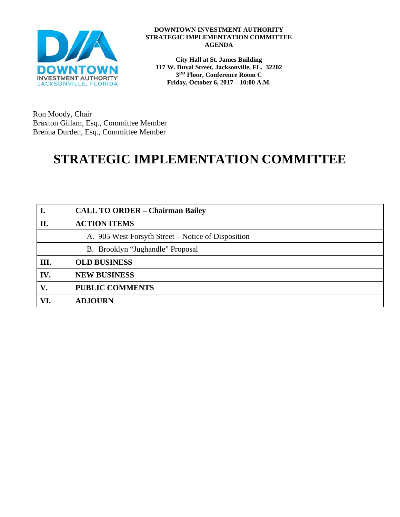

#### **DOWNTOWN INVESTMENT AUTHORITY STRATEGIC IMPLEMENTATION COMMITTEE AGENDA**

**City Hall at St. James Building 117 W. Duval Street, Jacksonville, FL. 32202 3RD Floor, Conference Room C Friday, October 6, 2017 – 10:00 A.M.**

Ron Moody, Chair Braxton Gillam, Esq., Committee Member Brenna Durden, Esq., Committee Member

# **STRATEGIC IMPLEMENTATION COMMITTEE**

|      | <b>CALL TO ORDER - Chairman Bailey</b>             |
|------|----------------------------------------------------|
| П.   | <b>ACTION ITEMS</b>                                |
|      | A. 905 West Forsyth Street – Notice of Disposition |
|      | B. Brooklyn "Jughandle" Proposal                   |
| III. | <b>OLD BUSINESS</b>                                |
| IV.  | <b>NEW BUSINESS</b>                                |
| V.   | <b>PUBLIC COMMENTS</b>                             |
| VI.  | <b>ADJOURN</b>                                     |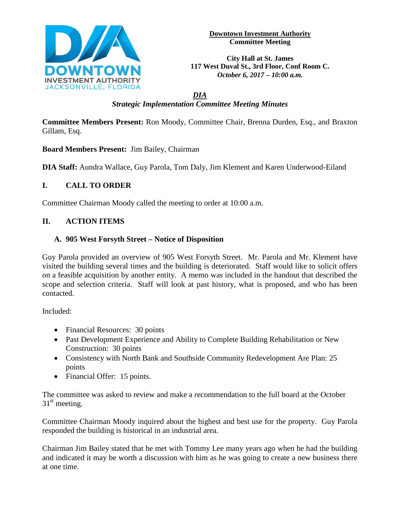

**Downtown Investment Authority Committee Meeting** 

**City Hall at St. James 117 West Duval St., 3rd Floor, Conf Room C.**  *October 6, 2017 – 10:00 a.m.*

# *DIA Strategic Implementation Committee Meeting Minutes*

**Committee Members Present:** Ron Moody, Committee Chair, Brenna Durden, Esq., and Braxton Gillam, Esq.

**Board Members Present:** Jim Bailey, Chairman

**DIA Staff:** Aundra Wallace, Guy Parola, Tom Daly, Jim Klement and Karen Underwood-Eiland

# **I. CALL TO ORDER**

Committee Chairman Moody called the meeting to order at 10:00 a.m.

# **II. ACTION ITEMS**

### **A. 905 West Forsyth Street – Notice of Disposition**

Guy Parola provided an overview of 905 West Forsyth Street. Mr. Parola and Mr. Klement have visited the building several times and the building is deteriorated. Staff would like to solicit offers on a feasible acquisition by another entity. A memo was included in the handout that described the scope and selection criteria. Staff will look at past history, what is proposed, and who has been contacted.

Included:

- Financial Resources: 30 points
- Past Development Experience and Ability to Complete Building Rehabilitation or New Construction: 30 points
- Consistency with North Bank and Southside Community Redevelopment Are Plan: 25 points
- Financial Offer: 15 points.

The committee was asked to review and make a recommendation to the full board at the October  $31<sup>st</sup>$  meeting.

Committee Chairman Moody inquired about the highest and best use for the property. Guy Parola responded the building is historical in an industrial area.

Chairman Jim Bailey stated that he met with Tommy Lee many years ago when he had the building and indicated it may be worth a discussion with him as he was going to create a new business there at one time.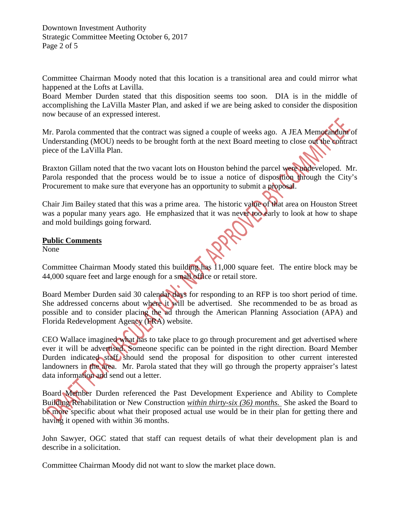Downtown Investment Authority Strategic Committee Meeting October 6, 2017 Page 2 of 5

Committee Chairman Moody noted that this location is a transitional area and could mirror what happened at the Lofts at Lavilla.

Board Member Durden stated that this disposition seems too soon. DIA is in the middle of accomplishing the LaVilla Master Plan, and asked if we are being asked to consider the disposition now because of an expressed interest.

Mr. Parola commented that the contract was signed a couple of weeks ago. A JEA Memorandum of Understanding (MOU) needs to be brought forth at the next Board meeting to close out the contract piece of the LaVilla Plan.

Braxton Gillam noted that the two vacant lots on Houston behind the parcel were undeveloped. Mr. Parola responded that the process would be to issue a notice of disposition through the City's Procurement to make sure that everyone has an opportunity to submit a proposal.

Chair Jim Bailey stated that this was a prime area. The historic value of that area on Houston Street was a popular many years ago. He emphasized that it was never too early to look at how to shape and mold buildings going forward.

#### **Public Comments**

None

Committee Chairman Moody stated this building has 11,000 square feet. The entire block may be 44,000 square feet and large enough for a small office or retail store.

Board Member Durden said 30 calendar days for responding to an RFP is too short period of time. She addressed concerns about where it will be advertised. She recommended to be as broad as possible and to consider placing the ad through the American Planning Association (APA) and Florida Redevelopment Agency (FRA) website.

CEO Wallace imagined what has to take place to go through procurement and get advertised where ever it will be advertised. Someone specific can be pointed in the right direction. Board Member Durden indicated staff should send the proposal for disposition to other current interested landowners in the area. Mr. Parola stated that they will go through the property appraiser's latest data information and send out a letter.

Board Member Durden referenced the Past Development Experience and Ability to Complete Building Rehabilitation or New Construction *within thirty-six (36) months.* She asked the Board to be more specific about what their proposed actual use would be in their plan for getting there and having it opened with within 36 months.

John Sawyer, OGC stated that staff can request details of what their development plan is and describe in a solicitation.

Committee Chairman Moody did not want to slow the market place down.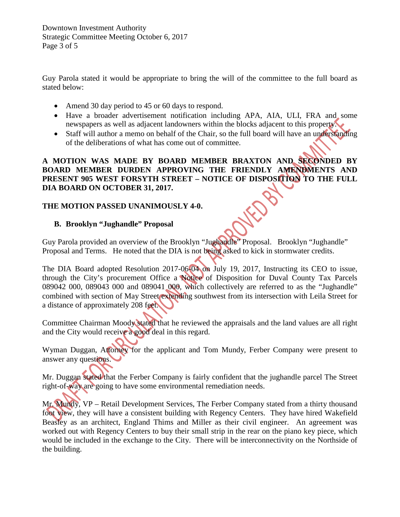Guy Parola stated it would be appropriate to bring the will of the committee to the full board as stated below:

- Amend 30 day period to 45 or 60 days to respond.
- Have a broader advertisement notification including APA, AIA, ULI, FRA and some newspapers as well as adjacent landowners within the blocks adjacent to this property.
- Staff will author a memo on behalf of the Chair, so the full board will have an understanding of the deliberations of what has come out of committee.

### **A MOTION WAS MADE BY BOARD MEMBER BRAXTON AND SECONDED BY BOARD MEMBER DURDEN APPROVING THE FRIENDLY AMENDMENTS AND PRESENT 905 WEST FORSYTH STREET – NOTICE OF DISPOSITION TO THE FULL DIA BOARD ON OCTOBER 31, 2017.**

# **THE MOTION PASSED UNANIMOUSLY 4-0.**

## **B. Brooklyn "Jughandle" Proposal**

Guy Parola provided an overview of the Brooklyn "Jughandle" Proposal. Brooklyn "Jughandle" Proposal and Terms. He noted that the DIA is not being asked to kick in stormwater credits.

The DIA Board adopted Resolution 2017-06-04 on July 19, 2017, Instructing its CEO to issue, through the City's procurement Office a Notice of Disposition for Duval County Tax Parcels 089042 000, 089043 000 and 089041 000, which collectively are referred to as the "Jughandle" combined with section of May Street extending southwest from its intersection with Leila Street for a distance of approximately 208 feet.

Committee Chairman Moody stated that he reviewed the appraisals and the land values are all right and the City would receive a good deal in this regard.

Wyman Duggan, Attorney for the applicant and Tom Mundy, Ferber Company were present to answer any questions.

Mr. Duggan stated that the Ferber Company is fairly confident that the jughandle parcel The Street right-of-way are going to have some environmental remediation needs.

Mr. Mundy, VP – Retail Development Services, The Ferber Company stated from a thirty thousand foot view, they will have a consistent building with Regency Centers. They have hired Wakefield Beasley as an architect, England Thims and Miller as their civil engineer. An agreement was worked out with Regency Centers to buy their small strip in the rear on the piano key piece, which would be included in the exchange to the City. There will be interconnectivity on the Northside of the building.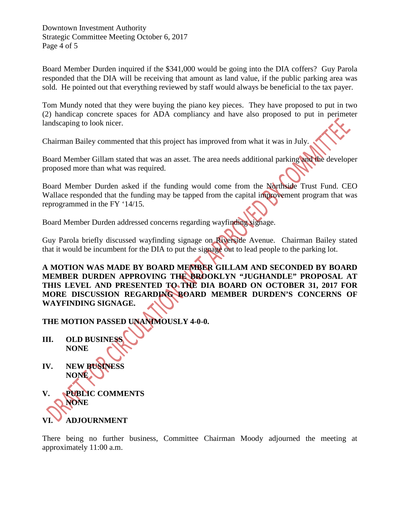Downtown Investment Authority Strategic Committee Meeting October 6, 2017 Page 4 of 5

Board Member Durden inquired if the \$341,000 would be going into the DIA coffers? Guy Parola responded that the DIA will be receiving that amount as land value, if the public parking area was sold. He pointed out that everything reviewed by staff would always be beneficial to the tax payer.

Tom Mundy noted that they were buying the piano key pieces. They have proposed to put in two (2) handicap concrete spaces for ADA compliancy and have also proposed to put in perimeter landscaping to look nicer.

Chairman Bailey commented that this project has improved from what it was in July.

Board Member Gillam stated that was an asset. The area needs additional parking and the developer proposed more than what was required.

Board Member Durden asked if the funding would come from the Northside Trust Fund. CEO Wallace responded that the funding may be tapped from the capital improvement program that was reprogrammed in the FY '14/15.

Board Member Durden addressed concerns regarding wayfinding signage.

Guy Parola briefly discussed wayfinding signage on Riverside Avenue. Chairman Bailey stated that it would be incumbent for the DIA to put the signage out to lead people to the parking lot.

**A MOTION WAS MADE BY BOARD MEMBER GILLAM AND SECONDED BY BOARD MEMBER DURDEN APPROVING THE BROOKLYN "JUGHANDLE" PROPOSAL AT THIS LEVEL AND PRESENTED TO THE DIA BOARD ON OCTOBER 31, 2017 FOR MORE DISCUSSION REGARDING BOARD MEMBER DURDEN'S CONCERNS OF WAYFINDING SIGNAGE.** 

**THE MOTION PASSED UNANIMOUSLY 4-0-0.** 

- **III. OLD BUSINESS NONE**
- **IV. NEW BUSINESS NONE**
- **V. PUBLIC COMMENTS NONE VI. ADJOURNMENT**

There being no further business, Committee Chairman Moody adjourned the meeting at approximately 11:00 a.m.